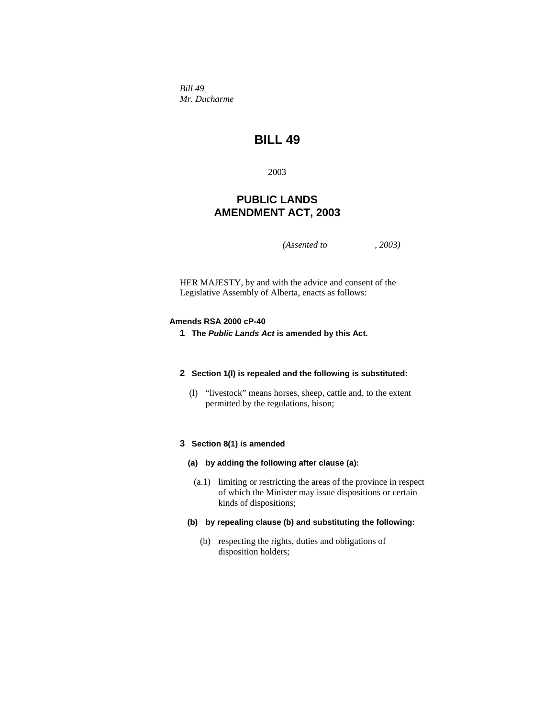*Bill 49 Mr. Ducharme* 

# **BILL 49**

2003

## **PUBLIC LANDS AMENDMENT ACT, 2003**

*(Assented to , 2003)* 

HER MAJESTY, by and with the advice and consent of the Legislative Assembly of Alberta, enacts as follows:

#### **Amends RSA 2000 cP-40**

**1 The** *Public Lands Act* **is amended by this Act.** 

#### **2 Section 1(l) is repealed and the following is substituted:**

 (l) "livestock" means horses, sheep, cattle and, to the extent permitted by the regulations, bison;

## **3 Section 8(1) is amended**

- **(a) by adding the following after clause (a):**
	- (a.1) limiting or restricting the areas of the province in respect of which the Minister may issue dispositions or certain kinds of dispositions;
- **(b) by repealing clause (b) and substituting the following:**
	- (b) respecting the rights, duties and obligations of disposition holders;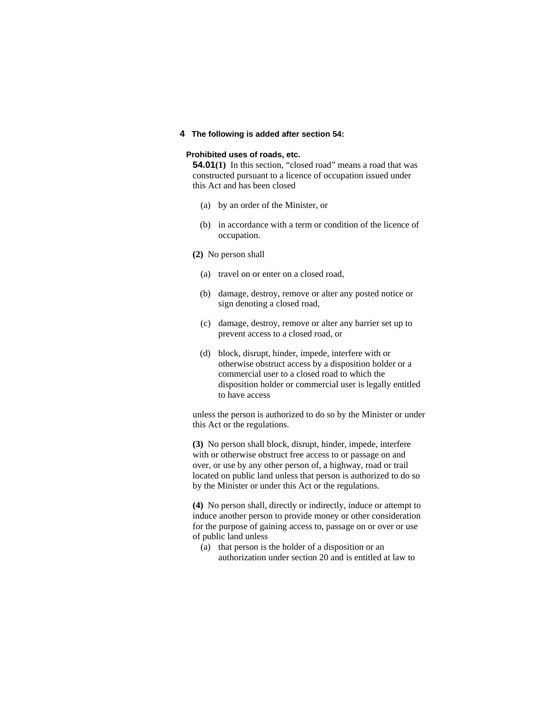**4 The following is added after section 54:**

#### **Prohibited uses of roads, etc.**

**54.01(1)** In this section, "closed road" means a road that was constructed pursuant to a licence of occupation issued under this Act and has been closed

- (a) by an order of the Minister, or
- (b) in accordance with a term or condition of the licence of occupation.
- **(2)** No person shall
	- (a) travel on or enter on a closed road,
	- (b) damage, destroy, remove or alter any posted notice or sign denoting a closed road,
	- (c) damage, destroy, remove or alter any barrier set up to prevent access to a closed road, or
	- (d) block, disrupt, hinder, impede, interfere with or otherwise obstruct access by a disposition holder or a commercial user to a closed road to which the disposition holder or commercial user is legally entitled to have access

unless the person is authorized to do so by the Minister or under this Act or the regulations.

**(3)** No person shall block, disrupt, hinder, impede, interfere with or otherwise obstruct free access to or passage on and over, or use by any other person of, a highway, road or trail located on public land unless that person is authorized to do so by the Minister or under this Act or the regulations.

**(4)** No person shall, directly or indirectly, induce or attempt to induce another person to provide money or other consideration for the purpose of gaining access to, passage on or over or use of public land unless

 (a) that person is the holder of a disposition or an authorization under section 20 and is entitled at law to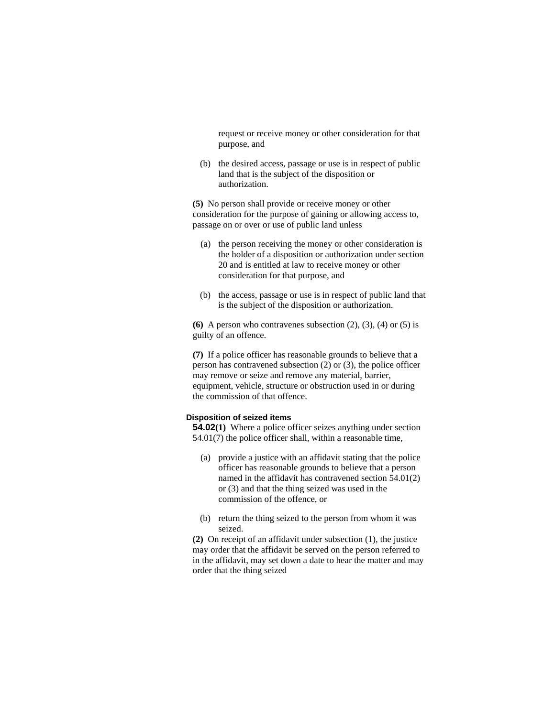request or receive money or other consideration for that purpose, and

 (b) the desired access, passage or use is in respect of public land that is the subject of the disposition or authorization.

**(5)** No person shall provide or receive money or other consideration for the purpose of gaining or allowing access to, passage on or over or use of public land unless

- (a) the person receiving the money or other consideration is the holder of a disposition or authorization under section 20 and is entitled at law to receive money or other consideration for that purpose, and
- (b) the access, passage or use is in respect of public land that is the subject of the disposition or authorization.

**(6)** A person who contravenes subsection  $(2)$ ,  $(3)$ ,  $(4)$  or  $(5)$  is guilty of an offence.

**(7)** If a police officer has reasonable grounds to believe that a person has contravened subsection (2) or (3), the police officer may remove or seize and remove any material, barrier, equipment, vehicle, structure or obstruction used in or during the commission of that offence.

#### **Disposition of seized items**

**54.02(1)** Where a police officer seizes anything under section 54.01(7) the police officer shall, within a reasonable time,

- (a) provide a justice with an affidavit stating that the police officer has reasonable grounds to believe that a person named in the affidavit has contravened section 54.01(2) or (3) and that the thing seized was used in the commission of the offence, or
- (b) return the thing seized to the person from whom it was seized.

**(2)** On receipt of an affidavit under subsection (1), the justice may order that the affidavit be served on the person referred to in the affidavit, may set down a date to hear the matter and may order that the thing seized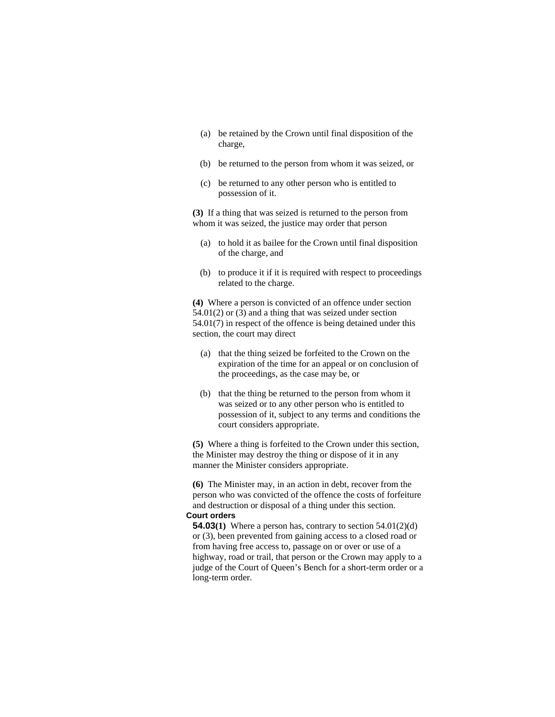- (a) be retained by the Crown until final disposition of the charge,
- (b) be returned to the person from whom it was seized, or
- (c) be returned to any other person who is entitled to possession of it.

**(3)** If a thing that was seized is returned to the person from whom it was seized, the justice may order that person

- (a) to hold it as bailee for the Crown until final disposition of the charge, and
- (b) to produce it if it is required with respect to proceedings related to the charge.

**(4)** Where a person is convicted of an offence under section 54.01(2) or (3) and a thing that was seized under section 54.01(7) in respect of the offence is being detained under this section, the court may direct

- (a) that the thing seized be forfeited to the Crown on the expiration of the time for an appeal or on conclusion of the proceedings, as the case may be, or
- (b) that the thing be returned to the person from whom it was seized or to any other person who is entitled to possession of it, subject to any terms and conditions the court considers appropriate.

**(5)** Where a thing is forfeited to the Crown under this section, the Minister may destroy the thing or dispose of it in any manner the Minister considers appropriate.

**(6)** The Minister may, in an action in debt, recover from the person who was convicted of the offence the costs of forfeiture and destruction or disposal of a thing under this section.

## **Court orders**

**54.03(1)** Where a person has, contrary to section 54.01(2)(d) or (3), been prevented from gaining access to a closed road or from having free access to, passage on or over or use of a highway, road or trail, that person or the Crown may apply to a judge of the Court of Queen's Bench for a short-term order or a long-term order.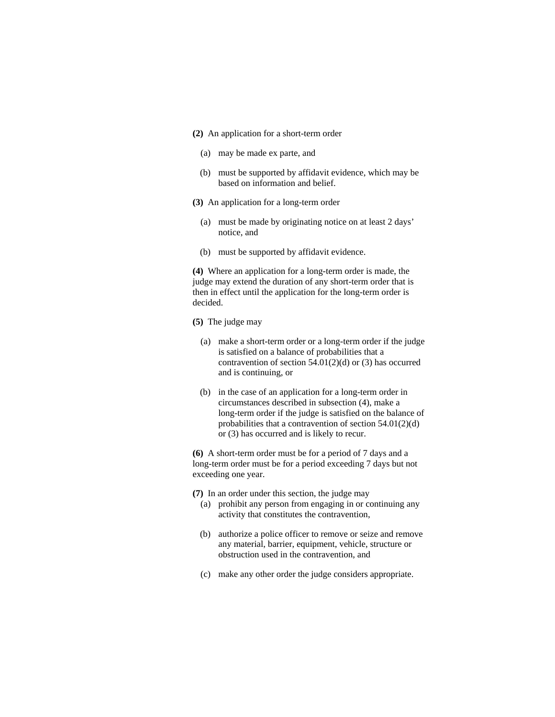- **(2)** An application for a short-term order
	- (a) may be made ex parte, and
	- (b) must be supported by affidavit evidence, which may be based on information and belief.
- **(3)** An application for a long-term order
	- (a) must be made by originating notice on at least 2 days' notice, and
	- (b) must be supported by affidavit evidence.

**(4)** Where an application for a long-term order is made, the judge may extend the duration of any short-term order that is then in effect until the application for the long-term order is decided.

- **(5)** The judge may
	- (a) make a short-term order or a long-term order if the judge is satisfied on a balance of probabilities that a contravention of section  $54.01(2)(d)$  or  $(3)$  has occurred and is continuing, or
	- (b) in the case of an application for a long-term order in circumstances described in subsection (4), make a long-term order if the judge is satisfied on the balance of probabilities that a contravention of section 54.01(2)(d) or (3) has occurred and is likely to recur.

**(6)** A short-term order must be for a period of 7 days and a long-term order must be for a period exceeding 7 days but not exceeding one year.

- **(7)** In an order under this section, the judge may
	- (a) prohibit any person from engaging in or continuing any activity that constitutes the contravention,
	- (b) authorize a police officer to remove or seize and remove any material, barrier, equipment, vehicle, structure or obstruction used in the contravention, and
	- (c) make any other order the judge considers appropriate.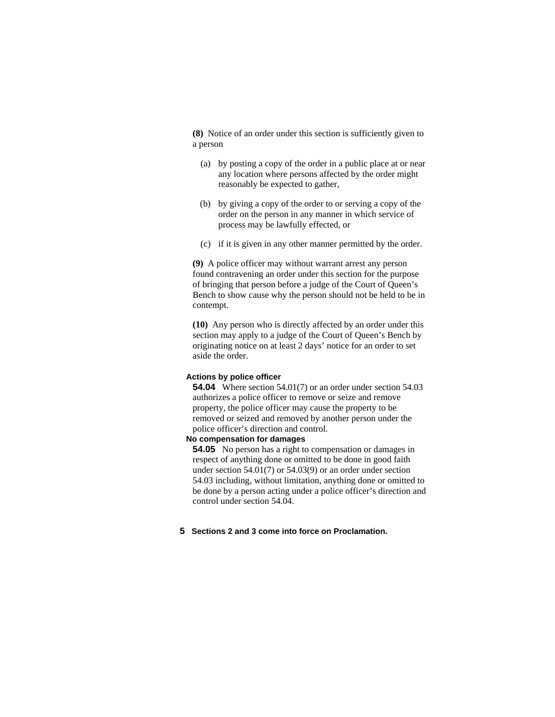**(8)** Notice of an order under this section is sufficiently given to a person

- (a) by posting a copy of the order in a public place at or near any location where persons affected by the order might reasonably be expected to gather,
- (b) by giving a copy of the order to or serving a copy of the order on the person in any manner in which service of process may be lawfully effected, or
- (c) if it is given in any other manner permitted by the order.

**(9)** A police officer may without warrant arrest any person found contravening an order under this section for the purpose of bringing that person before a judge of the Court of Queen's Bench to show cause why the person should not be held to be in contempt.

**(10)** Any person who is directly affected by an order under this section may apply to a judge of the Court of Queen's Bench by originating notice on at least 2 days' notice for an order to set aside the order.

#### **Actions by police officer**

**54.04** Where section 54.01(7) or an order under section 54.03 authorizes a police officer to remove or seize and remove property, the police officer may cause the property to be removed or seized and removed by another person under the police officer's direction and control.

### **No compensation for damages**

**54.05** No person has a right to compensation or damages in respect of anything done or omitted to be done in good faith under section 54.01(7) or 54.03(9) or an order under section 54.03 including, without limitation, anything done or omitted to be done by a person acting under a police officer's direction and control under section 54.04.

#### **5 Sections 2 and 3 come into force on Proclamation.**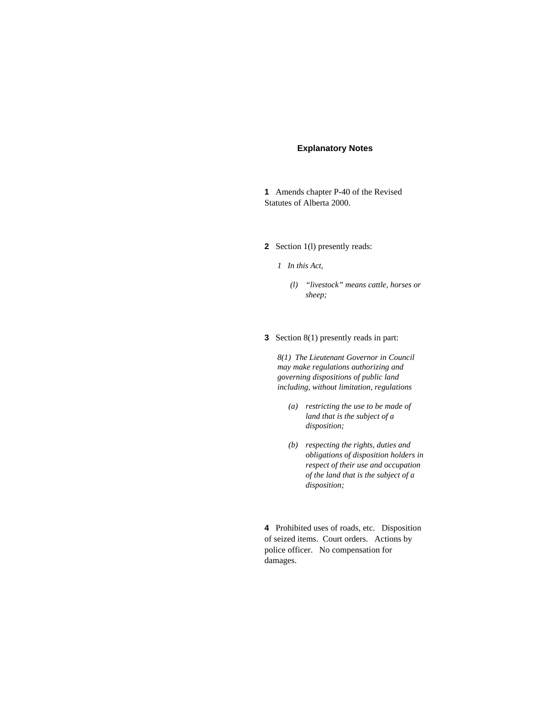#### **Explanatory Notes**

**1** Amends chapter P-40 of the Revised Statutes of Alberta 2000.

**2** Section 1(l) presently reads:

*1 In this Act,* 

- *(l) "livestock" means cattle, horses or sheep;*
- **3** Section 8(1) presently reads in part:

*8(1) The Lieutenant Governor in Council may make regulations authorizing and governing dispositions of public land including, without limitation, regulations* 

- *(a) restricting the use to be made of land that is the subject of a disposition;*
- *(b) respecting the rights, duties and obligations of disposition holders in respect of their use and occupation of the land that is the subject of a disposition;*

**4** Prohibited uses of roads, etc. Disposition of seized items. Court orders. Actions by police officer. No compensation for damages.